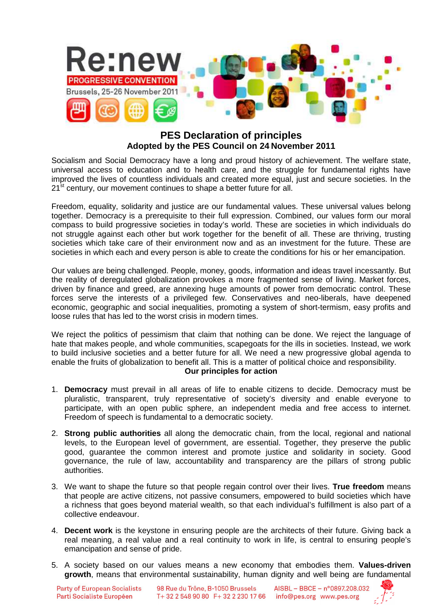

## **PES Declaration of principles Adopted by the PES Council on 24 November 2011**

Socialism and Social Democracy have a long and proud history of achievement. The welfare state, universal access to education and to health care, and the struggle for fundamental rights have improved the lives of countless individuals and created more equal, just and secure societies. In the  $21<sup>st</sup>$  century, our movement continues to shape a better future for all.

Freedom, equality, solidarity and justice are our fundamental values. These universal values belong together. Democracy is a prerequisite to their full expression. Combined, our values form our moral compass to build progressive societies in today's world. These are societies in which individuals do not struggle against each other but work together for the benefit of all. These are thriving, trusting societies which take care of their environment now and as an investment for the future. These are societies in which each and every person is able to create the conditions for his or her emancipation.

Our values are being challenged. People, money, goods, information and ideas travel incessantly. But the reality of deregulated globalization provokes a more fragmented sense of living. Market forces, driven by finance and greed, are annexing huge amounts of power from democratic control. These forces serve the interests of a privileged few. Conservatives and neo-liberals, have deepened economic, geographic and social inequalities, promoting a system of short-termism, easy profits and loose rules that has led to the worst crisis in modern times.

We reject the politics of pessimism that claim that nothing can be done. We reject the language of hate that makes people, and whole communities, scapegoats for the ills in societies. Instead, we work to build inclusive societies and a better future for all. We need a new progressive global agenda to enable the fruits of globalization to benefit all. This is a matter of political choice and responsibility.

## **Our principles for action**

- 1. **Democracy** must prevail in all areas of life to enable citizens to decide. Democracy must be pluralistic, transparent, truly representative of society's diversity and enable everyone to participate, with an open public sphere, an independent media and free access to internet. Freedom of speech is fundamental to a democratic society.
- 2. **Strong public authorities** all along the democratic chain, from the local, regional and national levels, to the European level of government, are essential. Together, they preserve the public good, guarantee the common interest and promote justice and solidarity in society. Good governance, the rule of law, accountability and transparency are the pillars of strong public authorities.
- 3. We want to shape the future so that people regain control over their lives. **True freedom** means that people are active citizens, not passive consumers, empowered to build societies which have a richness that goes beyond material wealth, so that each individual's fulfillment is also part of a collective endeavour.
- 4. **Decent work** is the keystone in ensuring people are the architects of their future. Giving back a real meaning, a real value and a real continuity to work in life, is central to ensuring people's emancipation and sense of pride.
- 5. A society based on our values means a new economy that embodies them. **Values-driven growth**, means that environmental sustainability, human dignity and well being are fundamental